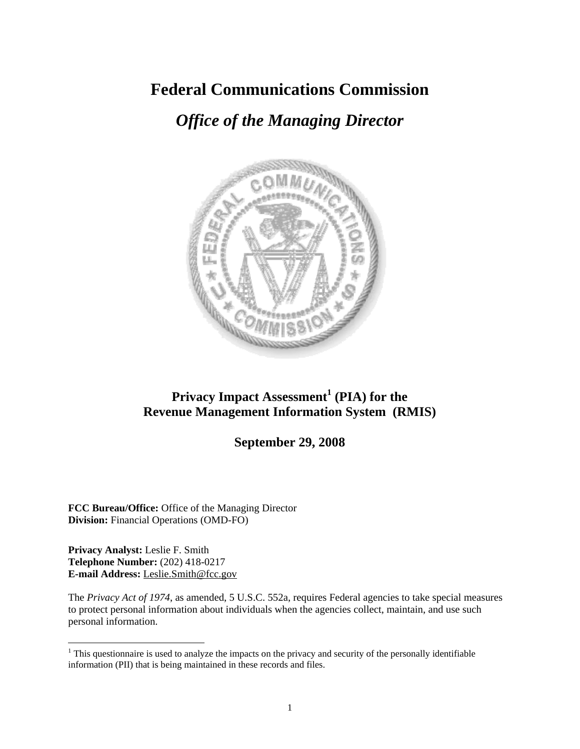# **Federal Communications Commission**

# *Office of the Managing Director*



# **Privacy Impact Assessment<sup>1</sup> (PIA) for the Revenue Management Information System (RMIS)**

# **September 29, 2008**

**FCC Bureau/Office:** Office of the Managing Director **Division:** Financial Operations (OMD-FO)

**Privacy Analyst:** Leslie F. Smith **Telephone Number:** (202) 418-0217 **E-mail Address:** Leslie.Smith@fcc.gov

 $\overline{a}$ 

The *Privacy Act of 1974*, as amended, 5 U.S.C. 552a, requires Federal agencies to take special measures to protect personal information about individuals when the agencies collect, maintain, and use such personal information.

 $1$ <sup>1</sup> This questionnaire is used to analyze the impacts on the privacy and security of the personally identifiable information (PII) that is being maintained in these records and files.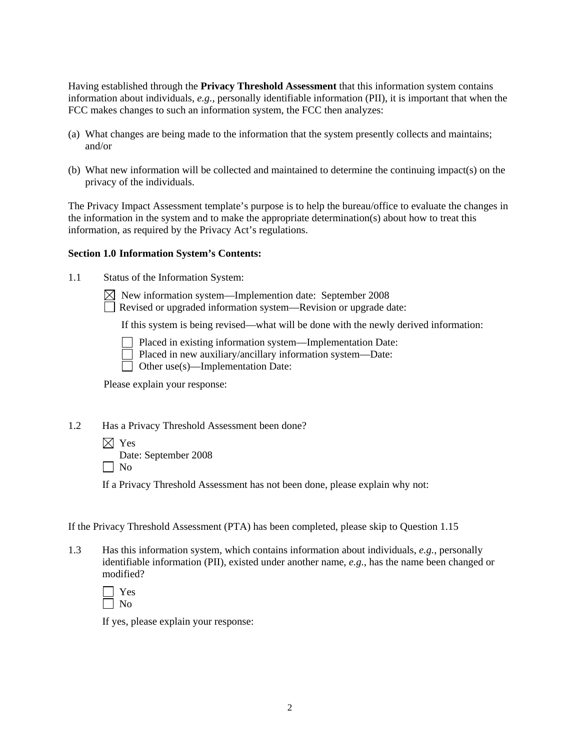Having established through the **Privacy Threshold Assessment** that this information system contains information about individuals, *e.g.*, personally identifiable information (PII), it is important that when the FCC makes changes to such an information system, the FCC then analyzes:

- (a) What changes are being made to the information that the system presently collects and maintains; and/or
- (b) What new information will be collected and maintained to determine the continuing impact(s) on the privacy of the individuals.

The Privacy Impact Assessment template's purpose is to help the bureau/office to evaluate the changes in the information in the system and to make the appropriate determination(s) about how to treat this information, as required by the Privacy Act's regulations.

## **Section 1.0 Information System's Contents:**

1.1 Status of the Information System:

 $\boxtimes$  New information system—Implemention date: September 2008

Revised or upgraded information system—Revision or upgrade date:

If this system is being revised—what will be done with the newly derived information:

Placed in existing information system—Implementation Date:

Placed in new auxiliary/ancillary information system—Date:

Other use(s)—Implementation Date:

Please explain your response:

1.2 Has a Privacy Threshold Assessment been done?

 $\boxtimes$  Yes

Date: September 2008

 $\Box$  No

If a Privacy Threshold Assessment has not been done, please explain why not:

If the Privacy Threshold Assessment (PTA) has been completed, please skip to Question 1.15

1.3 Has this information system, which contains information about individuals, *e.g.*, personally identifiable information (PII), existed under another name, *e.g.*, has the name been changed or modified?



If yes, please explain your response: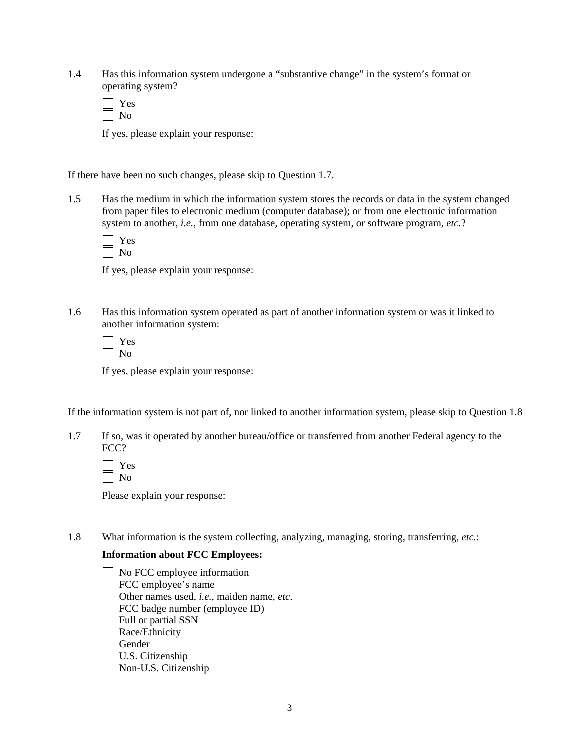1.4 Has this information system undergone a "substantive change" in the system's format or operating system?

If yes, please explain your response:

If there have been no such changes, please skip to Question 1.7.

1.5 Has the medium in which the information system stores the records or data in the system changed from paper files to electronic medium (computer database); or from one electronic information system to another, *i.e.*, from one database, operating system, or software program, *etc.*?

If yes, please explain your response:

1.6 Has this information system operated as part of another information system or was it linked to another information system:

If yes, please explain your response:

If the information system is not part of, nor linked to another information system, please skip to Question 1.8

1.7 If so, was it operated by another bureau/office or transferred from another Federal agency to the FCC?

Please explain your response:

1.8 What information is the system collecting, analyzing, managing, storing, transferring, *etc.*:

## **Information about FCC Employees:**

| No FCC employee information                              |
|----------------------------------------------------------|
| FCC employee's name                                      |
| Other names used, <i>i.e.</i> , maiden name, <i>etc.</i> |
| FCC badge number (employee ID)                           |
| Full or partial SSN                                      |
| Race/Ethnicity                                           |
| Gender                                                   |
| U.S. Citizenship                                         |

Non-U.S. Citizenship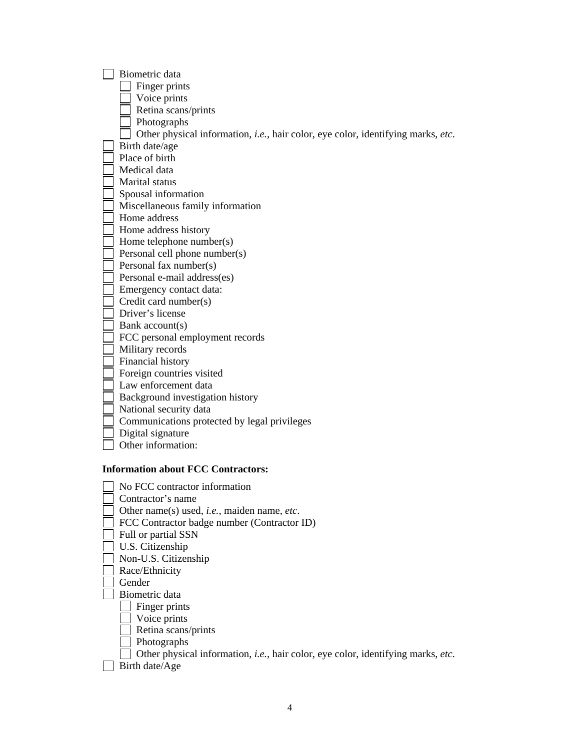| Biometric data                                                                           |
|------------------------------------------------------------------------------------------|
| Finger prints                                                                            |
| Voice prints                                                                             |
| Retina scans/prints                                                                      |
| Photographs                                                                              |
| Other physical information, <i>i.e.</i> , hair color, eye color, identifying marks, etc. |
| Birth date/age                                                                           |
| Place of birth                                                                           |
| Medical data                                                                             |
| Marital status                                                                           |
| Spousal information                                                                      |
| Miscellaneous family information                                                         |
| Home address                                                                             |
| Home address history                                                                     |
| Home telephone number(s)                                                                 |
| Personal cell phone number(s)                                                            |
| Personal fax number(s)                                                                   |
| Personal e-mail address(es)                                                              |
| Emergency contact data:                                                                  |
| Credit card number(s)                                                                    |
| Driver's license                                                                         |
| Bank account(s)                                                                          |
| FCC personal employment records                                                          |
| Military records                                                                         |
| Financial history                                                                        |
| Foreign countries visited                                                                |
| Law enforcement data                                                                     |
| Background investigation history                                                         |
| National security data                                                                   |
| Communications protected by legal privileges                                             |
| Digital signature                                                                        |
| Other information:                                                                       |
|                                                                                          |
| <b>Information about FCC Contractors:</b>                                                |
|                                                                                          |
| No FCC contractor information                                                            |
| Contractor's name                                                                        |
| Other name(s) used, <i>i.e.</i> , maiden name, <i>etc.</i>                               |
| FCC Contractor badge number (Contractor ID)                                              |
| Full or partial SSN                                                                      |
| U.S. Citizenship                                                                         |
| Non-U.S. Citizenship                                                                     |
| Race/Ethnicity<br>Gender                                                                 |
| Biometric data                                                                           |
| Finger prints                                                                            |
|                                                                                          |
| Voice prints<br>Retina scans/prints                                                      |
| Photographs                                                                              |
| Other physical information, i.e., hair color, eye color, identifying marks, etc.         |
| Birth date/Age                                                                           |
|                                                                                          |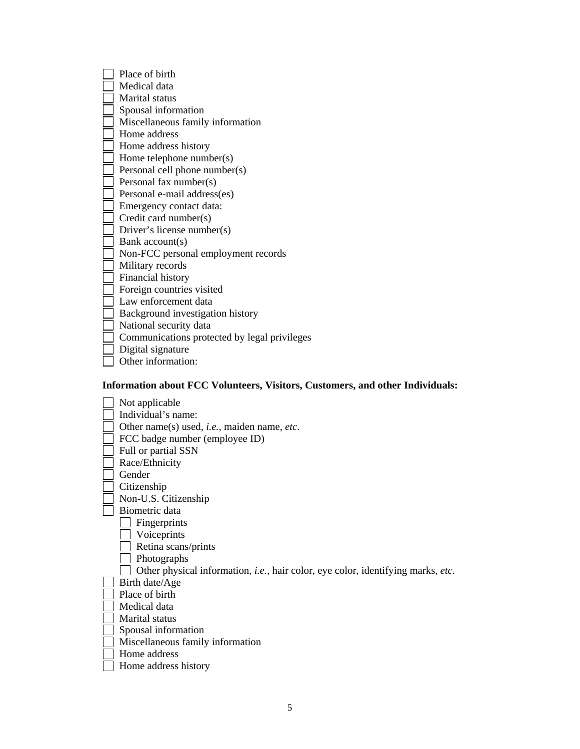| Place of birth                               |
|----------------------------------------------|
| Medical data                                 |
| Marital status                               |
| Spousal information                          |
| Miscellaneous family information             |
| Home address                                 |
| Home address history                         |
| Home telephone number(s)                     |
| Personal cell phone number(s)                |
| Personal fax number(s)                       |
| Personal e-mail address(es)                  |
| Emergency contact data:                      |
| Credit card number(s)                        |
| Driver's license number(s)                   |
| Bank account(s)                              |
| Non-FCC personal employment records          |
| Military records                             |
| Financial history                            |
| Foreign countries visited                    |
| Law enforcement data                         |
| Background investigation history             |
| National security data                       |
| Communications protected by legal privileges |
| Digital signature                            |
| Other information:                           |

# **Information about FCC Volunteers, Visitors, Customers, and other Individuals:**

| Not applicable                                                                                   |
|--------------------------------------------------------------------------------------------------|
| Individual's name:                                                                               |
| Other name(s) used, <i>i.e.</i> , maiden name, <i>etc.</i>                                       |
| FCC badge number (employee ID)                                                                   |
| Full or partial SSN                                                                              |
| Race/Ethnicity                                                                                   |
| Gender                                                                                           |
| Citizenship                                                                                      |
| Non-U.S. Citizenship                                                                             |
| Biometric data                                                                                   |
| Fingerprints                                                                                     |
| Voiceprints                                                                                      |
| Retina scans/prints                                                                              |
| Photographs                                                                                      |
| Other physical information, <i>i.e.</i> , hair color, eye color, identifying marks, <i>etc</i> . |
| Birth date/Age                                                                                   |
| Place of birth                                                                                   |
| Medical data                                                                                     |
| Marital status                                                                                   |
| Spousal information                                                                              |
| Miscellaneous family information                                                                 |
| Home address                                                                                     |
| Home address history                                                                             |
|                                                                                                  |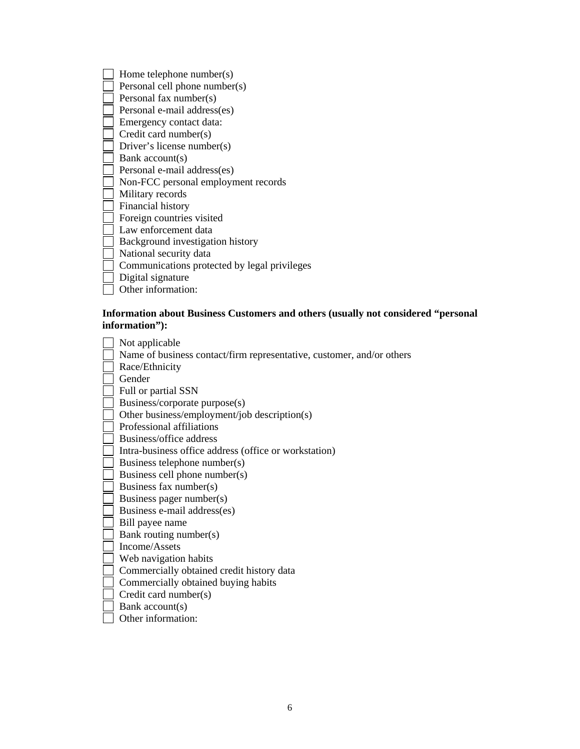Home telephone number(s) Personal cell phone number(s) Personal fax number(s) Personal e-mail address(es) Emergency contact data: Credit card number(s) Driver's license number(s)  $\Box$  Bank account(s) Personal e-mail address(es) Non-FCC personal employment records Military records Financial history Foreign countries visited Law enforcement data Background investigation history National security data Communications protected by legal privileges Digital signature Other information:

# **Information about Business Customers and others (usually not considered "personal information"):**

| Not applicable                                                        |
|-----------------------------------------------------------------------|
| Name of business contact/firm representative, customer, and/or others |
| Race/Ethnicity                                                        |
| Gender                                                                |
| Full or partial SSN                                                   |
| Business/corporate purpose(s)                                         |
| Other business/employment/job description(s)                          |
| Professional affiliations                                             |
| Business/office address                                               |
| Intra-business office address (office or workstation)                 |
| Business telephone number(s)                                          |
| Business cell phone number(s)                                         |
| Business fax number(s)                                                |
| Business pager number(s)                                              |
| Business e-mail address(es)                                           |
| Bill payee name                                                       |
| Bank routing number(s)                                                |
| Income/Assets                                                         |
| Web navigation habits                                                 |
| Commercially obtained credit history data                             |
| Commercially obtained buying habits                                   |
| Credit card number(s)                                                 |
| Bank account(s)                                                       |
| Other information:                                                    |
|                                                                       |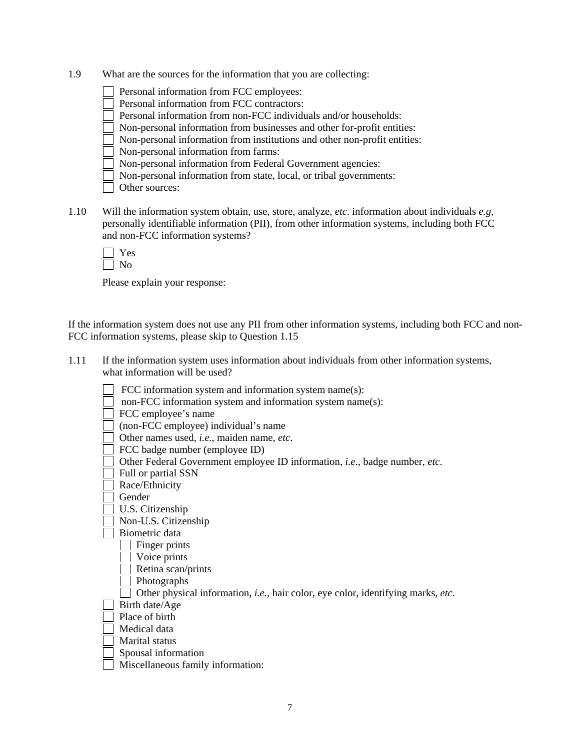- 1.9 What are the sources for the information that you are collecting:
	- Personal information from FCC employees:
	- Personal information from FCC contractors:
	- Personal information from non-FCC individuals and/or households:
	- Non-personal information from businesses and other for-profit entities:
	- Non-personal information from institutions and other non-profit entities:

Non-personal information from farms:

Non-personal information from Federal Government agencies:

Non-personal information from state, local, or tribal governments:

|  | Other sources: |
|--|----------------|

1.10 Will the information system obtain, use, store, analyze, *etc*. information about individuals *e.g*, personally identifiable information (PII), from other information systems, including both FCC and non-FCC information systems?

Please explain your response:

If the information system does not use any PII from other information systems, including both FCC and non-FCC information systems, please skip to Question 1.15

1.11 If the information system uses information about individuals from other information systems, what information will be used?

| FCC information system and information system name(s):                           |
|----------------------------------------------------------------------------------|
| non-FCC information system and information system name(s):                       |
| FCC employee's name                                                              |
| (non-FCC employee) individual's name                                             |
| Other names used, i.e., maiden name, etc.                                        |
| FCC badge number (employee ID)                                                   |
| Other Federal Government employee ID information, i.e., badge number, etc.       |
| Full or partial SSN                                                              |
| Race/Ethnicity                                                                   |
| Gender                                                                           |
| U.S. Citizenship                                                                 |
| Non-U.S. Citizenship                                                             |
| Biometric data                                                                   |
| Finger prints                                                                    |
| Voice prints                                                                     |
| Retina scan/prints                                                               |
| Photographs                                                                      |
| Other physical information, i.e., hair color, eye color, identifying marks, etc. |
| Birth date/Age                                                                   |
| Place of birth                                                                   |
| Medical data                                                                     |
| Marital status                                                                   |
| Spousal information                                                              |
| Miscellaneous family information:                                                |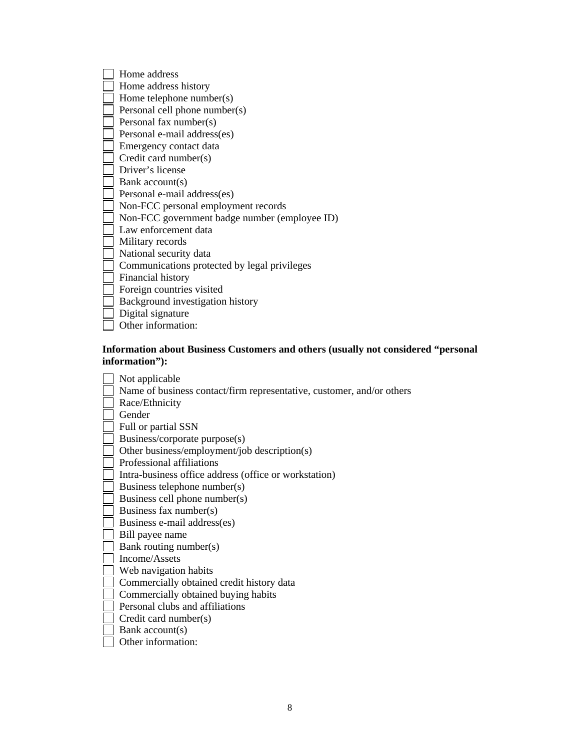| Home address                                  |
|-----------------------------------------------|
| Home address history                          |
| Home telephone number(s)                      |
| Personal cell phone number(s)                 |
| Personal fax number(s)                        |
| Personal e-mail address(es)                   |
| Emergency contact data                        |
| Credit card number(s)                         |
| Driver's license                              |
| Bank account(s)                               |
| Personal e-mail address(es)                   |
| Non-FCC personal employment records           |
| Non-FCC government badge number (employee ID) |
| Law enforcement data                          |
| Military records                              |
| National security data                        |
| Communications protected by legal privileges  |
| Financial history                             |
| Foreign countries visited                     |
| Background investigation history              |
| Digital signature                             |
| Other information:                            |

# **Information about Business Customers and others (usually not considered "personal information"):**

| Not applicable                                                        |
|-----------------------------------------------------------------------|
| Name of business contact/firm representative, customer, and/or others |
| Race/Ethnicity                                                        |
| Gender                                                                |
| Full or partial SSN                                                   |
| Business/corporate purpose(s)                                         |
| Other business/employment/job description(s)                          |
| Professional affiliations                                             |
| Intra-business office address (office or workstation)                 |
| Business telephone number(s)                                          |
| Business cell phone number(s)                                         |
| Business fax number(s)                                                |
| Business e-mail address(es)                                           |
| Bill payee name                                                       |
| Bank routing number(s)                                                |
| Income/Assets                                                         |
| Web navigation habits                                                 |
| Commercially obtained credit history data                             |
| Commercially obtained buying habits                                   |
| Personal clubs and affiliations                                       |
| Credit card number(s)                                                 |
| Bank $account(s)$                                                     |
| Other information:                                                    |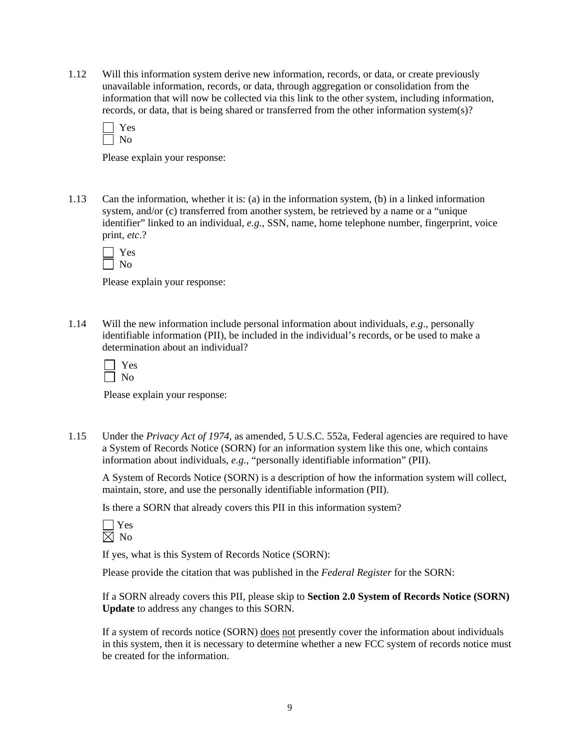1.12 Will this information system derive new information, records, or data, or create previously unavailable information, records, or data, through aggregation or consolidation from the information that will now be collected via this link to the other system, including information, records, or data, that is being shared or transferred from the other information system(s)?

| ÷ |
|---|
|   |

Please explain your response:

1.13 Can the information, whether it is: (a) in the information system, (b) in a linked information system, and/or (c) transferred from another system, be retrieved by a name or a "unique identifier" linked to an individual, *e.g.*, SSN, name, home telephone number, fingerprint, voice print, *etc*.?

Please explain your response:

1.14 Will the new information include personal information about individuals, *e.g*., personally identifiable information (PII), be included in the individual's records, or be used to make a determination about an individual?

Please explain your response:

1.15 Under the *Privacy Act of 1974*, as amended, 5 U.S.C. 552a, Federal agencies are required to have a System of Records Notice (SORN) for an information system like this one, which contains information about individuals, *e.g.*, "personally identifiable information" (PII).

A System of Records Notice (SORN) is a description of how the information system will collect, maintain, store, and use the personally identifiable information (PII).

Is there a SORN that already covers this PII in this information system?

If yes, what is this System of Records Notice (SORN):

Please provide the citation that was published in the *Federal Register* for the SORN:

If a SORN already covers this PII, please skip to **Section 2.0 System of Records Notice (SORN) Update** to address any changes to this SORN.

If a system of records notice (SORN) does not presently cover the information about individuals in this system, then it is necessary to determine whether a new FCC system of records notice must be created for the information.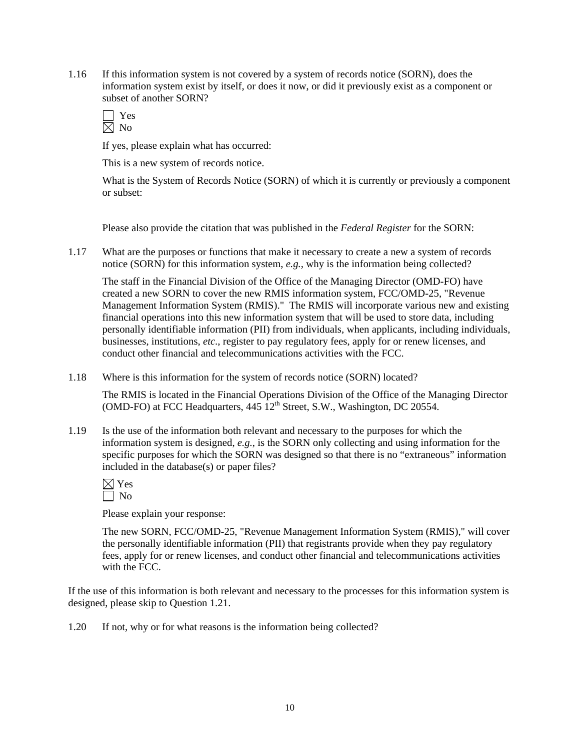1.16 If this information system is not covered by a system of records notice (SORN), does the information system exist by itself, or does it now, or did it previously exist as a component or subset of another SORN?

If yes, please explain what has occurred:

This is a new system of records notice.

What is the System of Records Notice (SORN) of which it is currently or previously a component or subset:

Please also provide the citation that was published in the *Federal Register* for the SORN:

1.17 What are the purposes or functions that make it necessary to create a new a system of records notice (SORN) for this information system, *e.g.*, why is the information being collected?

The staff in the Financial Division of the Office of the Managing Director (OMD-FO) have created a new SORN to cover the new RMIS information system, FCC/OMD-25, "Revenue Management Information System (RMIS)." The RMIS will incorporate various new and existing financial operations into this new information system that will be used to store data, including personally identifiable information (PII) from individuals, when applicants, including individuals, businesses, institutions, *etc*., register to pay regulatory fees, apply for or renew licenses, and conduct other financial and telecommunications activities with the FCC.

1.18 Where is this information for the system of records notice (SORN) located?

The RMIS is located in the Financial Operations Division of the Office of the Managing Director (OMD-FO) at FCC Headquarters,  $445 \, 12^{th}$  Street, S.W., Washington, DC 20554.

1.19 Is the use of the information both relevant and necessary to the purposes for which the information system is designed, *e.g.*, is the SORN only collecting and using information for the specific purposes for which the SORN was designed so that there is no "extraneous" information included in the database(s) or paper files?

 $\boxtimes$  Yes  $\Box$  No

Please explain your response:

The new SORN, FCC/OMD-25, "Revenue Management Information System (RMIS)," will cover the personally identifiable information (PII) that registrants provide when they pay regulatory fees, apply for or renew licenses, and conduct other financial and telecommunications activities with the FCC.

If the use of this information is both relevant and necessary to the processes for this information system is designed, please skip to Question 1.21.

1.20 If not, why or for what reasons is the information being collected?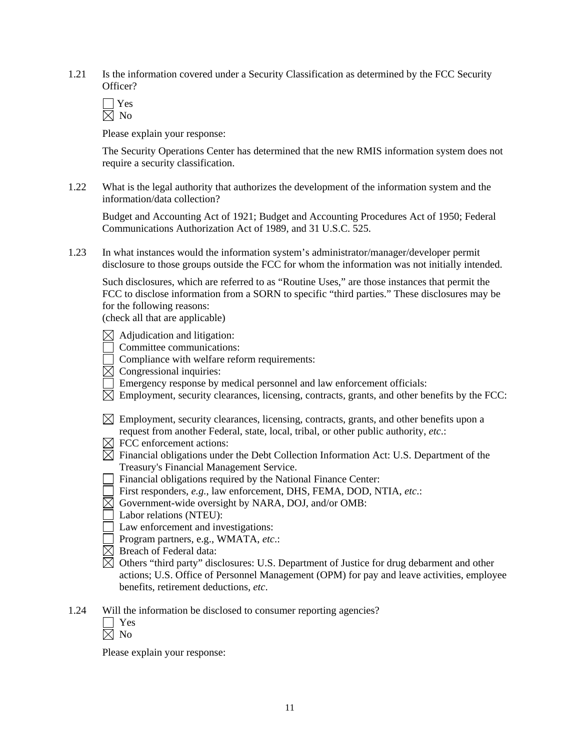- 1.21 Is the information covered under a Security Classification as determined by the FCC Security Officer?
	- $\Box$  Yes  $\overline{\boxtimes}$  No

 The Security Operations Center has determined that the new RMIS information system does not require a security classification.

1.22 What is the legal authority that authorizes the development of the information system and the information/data collection?

 Budget and Accounting Act of 1921; Budget and Accounting Procedures Act of 1950; Federal Communications Authorization Act of 1989, and 31 U.S.C. 525.

1.23 In what instances would the information system's administrator/manager/developer permit disclosure to those groups outside the FCC for whom the information was not initially intended.

 Such disclosures, which are referred to as "Routine Uses," are those instances that permit the FCC to disclose information from a SORN to specific "third parties." These disclosures may be for the following reasons:

(check all that are applicable)

- $\boxtimes$  Adjudication and litigation:
- Committee communications:
- Compliance with welfare reform requirements:
- $\overline{\boxtimes}$  Congressional inquiries:
- Emergency response by medical personnel and law enforcement officials:
- $\boxtimes$  Employment, security clearances, licensing, contracts, grants, and other benefits by the FCC:
- $\boxtimes$  Employment, security clearances, licensing, contracts, grants, and other benefits upon a request from another Federal, state, local, tribal, or other public authority, *etc*.:
- $\boxtimes$  FCC enforcement actions:
- $\boxtimes$  Financial obligations under the Debt Collection Information Act: U.S. Department of the Treasury's Financial Management Service.
- Financial obligations required by the National Finance Center:
- First responders, *e.g.*, law enforcement, DHS, FEMA, DOD, NTIA, *etc*.:
- $\boxtimes$  Government-wide oversight by NARA, DOJ, and/or OMB:
- Labor relations (NTEU):
- Law enforcement and investigations:
- Program partners, e.g., WMATA, *etc*.:
- $\boxtimes$  Breach of Federal data:
- $\boxtimes$  Others "third party" disclosures: U.S. Department of Justice for drug debarment and other actions; U.S. Office of Personnel Management (OPM) for pay and leave activities, employee benefits, retirement deductions, *etc*.
- 1.24 Will the information be disclosed to consumer reporting agencies?
	- Yes  $\boxtimes$  No

Please explain your response: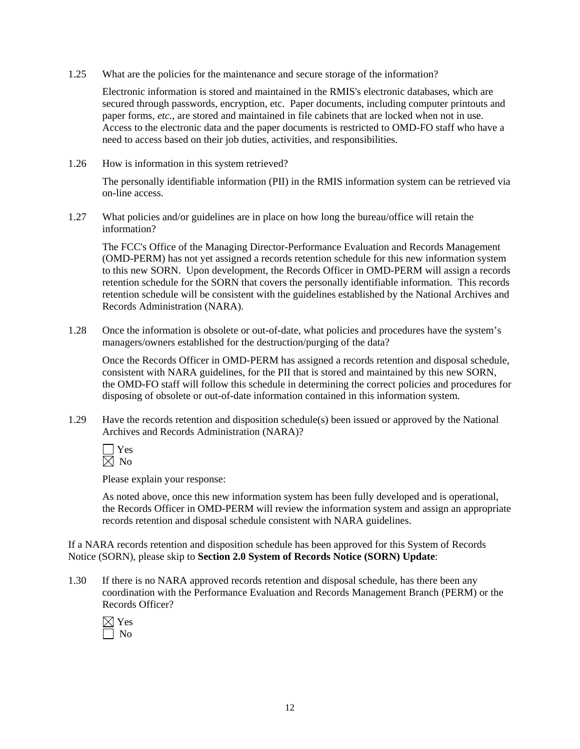1.25 What are the policies for the maintenance and secure storage of the information?

Electronic information is stored and maintained in the RMIS's electronic databases, which are secured through passwords, encryption, etc. Paper documents, including computer printouts and paper forms, *etc.*, are stored and maintained in file cabinets that are locked when not in use. Access to the electronic data and the paper documents is restricted to OMD-FO staff who have a need to access based on their job duties, activities, and responsibilities.

1.26 How is information in this system retrieved?

The personally identifiable information (PII) in the RMIS information system can be retrieved via on-line access.

1.27 What policies and/or guidelines are in place on how long the bureau/office will retain the information?

 The FCC's Office of the Managing Director-Performance Evaluation and Records Management (OMD-PERM) has not yet assigned a records retention schedule for this new information system to this new SORN. Upon development, the Records Officer in OMD-PERM will assign a records retention schedule for the SORN that covers the personally identifiable information. This records retention schedule will be consistent with the guidelines established by the National Archives and Records Administration (NARA).

1.28 Once the information is obsolete or out-of-date, what policies and procedures have the system's managers/owners established for the destruction/purging of the data?

Once the Records Officer in OMD-PERM has assigned a records retention and disposal schedule, consistent with NARA guidelines, for the PII that is stored and maintained by this new SORN, the OMD-FO staff will follow this schedule in determining the correct policies and procedures for disposing of obsolete or out-of-date information contained in this information system.

1.29 Have the records retention and disposition schedule(s) been issued or approved by the National Archives and Records Administration (NARA)?



Please explain your response:

As noted above, once this new information system has been fully developed and is operational, the Records Officer in OMD-PERM will review the information system and assign an appropriate records retention and disposal schedule consistent with NARA guidelines.

If a NARA records retention and disposition schedule has been approved for this System of Records Notice (SORN), please skip to **Section 2.0 System of Records Notice (SORN) Update**:

1.30 If there is no NARA approved records retention and disposal schedule, has there been any coordination with the Performance Evaluation and Records Management Branch (PERM) or the Records Officer?

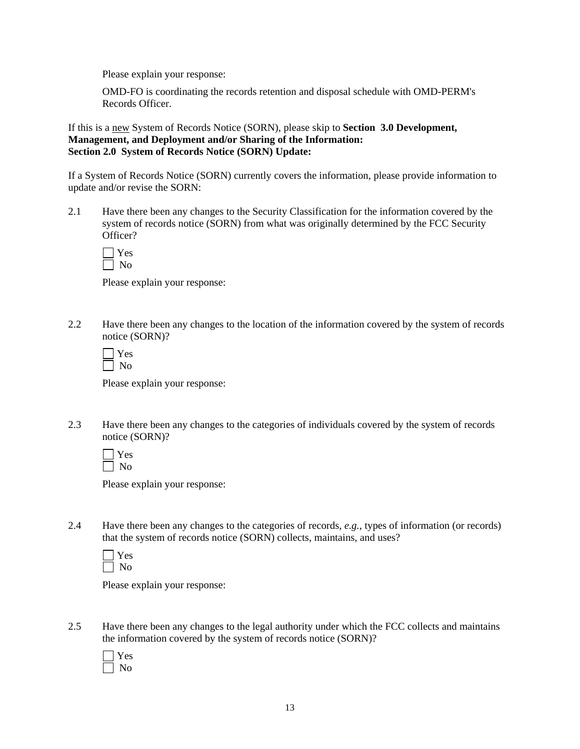OMD-FO is coordinating the records retention and disposal schedule with OMD-PERM's Records Officer.

If this is a new System of Records Notice (SORN), please skip to **Section 3.0 Development, Management, and Deployment and/or Sharing of the Information: Section 2.0 System of Records Notice (SORN) Update:** 

If a System of Records Notice (SORN) currently covers the information, please provide information to update and/or revise the SORN:

2.1 Have there been any changes to the Security Classification for the information covered by the system of records notice (SORN) from what was originally determined by the FCC Security Officer?

Please explain your response:

2.2 Have there been any changes to the location of the information covered by the system of records notice (SORN)?

Please explain your response:

2.3 Have there been any changes to the categories of individuals covered by the system of records notice (SORN)?

Please explain your response:

2.4 Have there been any changes to the categories of records, *e.g.*, types of information (or records) that the system of records notice (SORN) collects, maintains, and uses?

Please explain your response:

2.5 Have there been any changes to the legal authority under which the FCC collects and maintains the information covered by the system of records notice (SORN)?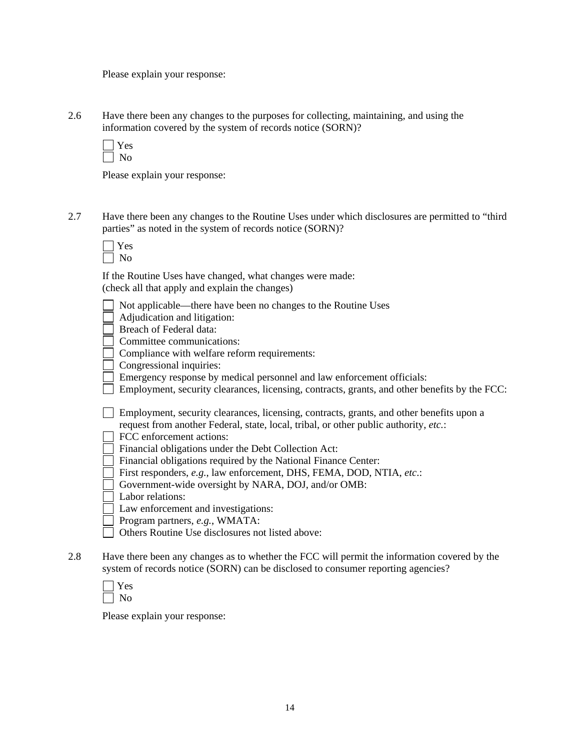2.6 Have there been any changes to the purposes for collecting, maintaining, and using the information covered by the system of records notice (SORN)?

Please explain your response:

2.7 Have there been any changes to the Routine Uses under which disclosures are permitted to "third parties" as noted in the system of records notice (SORN)?

 If the Routine Uses have changed, what changes were made: (check all that apply and explain the changes)

- Not applicable—there have been no changes to the Routine Uses
- Adjudication and litigation:

**Breach of Federal data:** 

Committee communications:

Compliance with welfare reform requirements:

Congressional inquiries:

Emergency response by medical personnel and law enforcement officials:

 $\Box$  Employment, security clearances, licensing, contracts, grants, and other benefits by the FCC:

 Employment, security clearances, licensing, contracts, grants, and other benefits upon a request from another Federal, state, local, tribal, or other public authority, *etc.*:

FCC enforcement actions:

- Financial obligations under the Debt Collection Act:
- Financial obligations required by the National Finance Center:
- First responders, *e.g.*, law enforcement, DHS, FEMA, DOD, NTIA, *etc*.:
- Government-wide oversight by NARA, DOJ, and/or OMB:
- Labor relations:

Law enforcement and investigations:

- Program partners, *e.g.*, WMATA:
- Others Routine Use disclosures not listed above:
- 2.8 Have there been any changes as to whether the FCC will permit the information covered by the system of records notice (SORN) can be disclosed to consumer reporting agencies?

Please explain your response: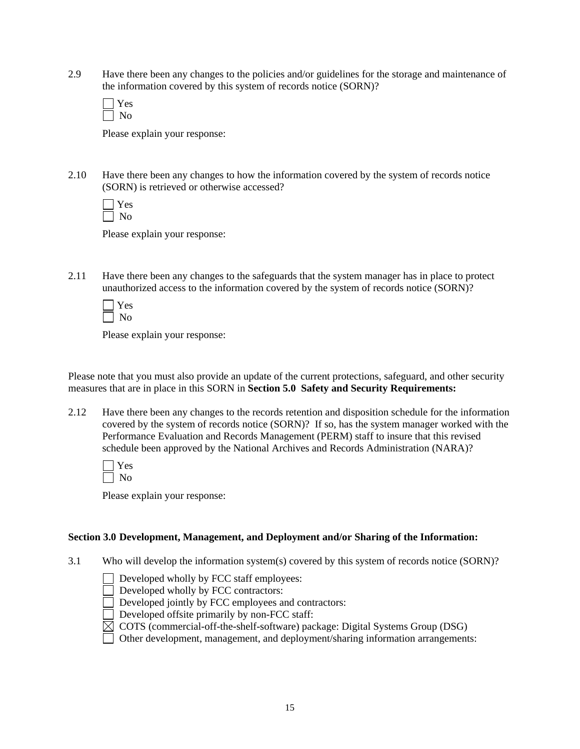2.9 Have there been any changes to the policies and/or guidelines for the storage and maintenance of the information covered by this system of records notice (SORN)?

Please explain your response:

2.10 Have there been any changes to how the information covered by the system of records notice (SORN) is retrieved or otherwise accessed?

Please explain your response:

2.11 Have there been any changes to the safeguards that the system manager has in place to protect unauthorized access to the information covered by the system of records notice (SORN)?

Please explain your response:

Please note that you must also provide an update of the current protections, safeguard, and other security measures that are in place in this SORN in **Section 5.0 Safety and Security Requirements:** 

2.12 Have there been any changes to the records retention and disposition schedule for the information covered by the system of records notice (SORN)? If so, has the system manager worked with the Performance Evaluation and Records Management (PERM) staff to insure that this revised schedule been approved by the National Archives and Records Administration (NARA)?

Please explain your response:

## **Section 3.0 Development, Management, and Deployment and/or Sharing of the Information:**

3.1 Who will develop the information system(s) covered by this system of records notice (SORN)?

 $\Box$  Developed wholly by FCC staff employees:

Developed wholly by FCC contractors:

Developed jointly by FCC employees and contractors:

- Developed offsite primarily by non-FCC staff:
- $\boxtimes$  COTS (commercial-off-the-shelf-software) package: Digital Systems Group (DSG)

Other development, management, and deployment/sharing information arrangements: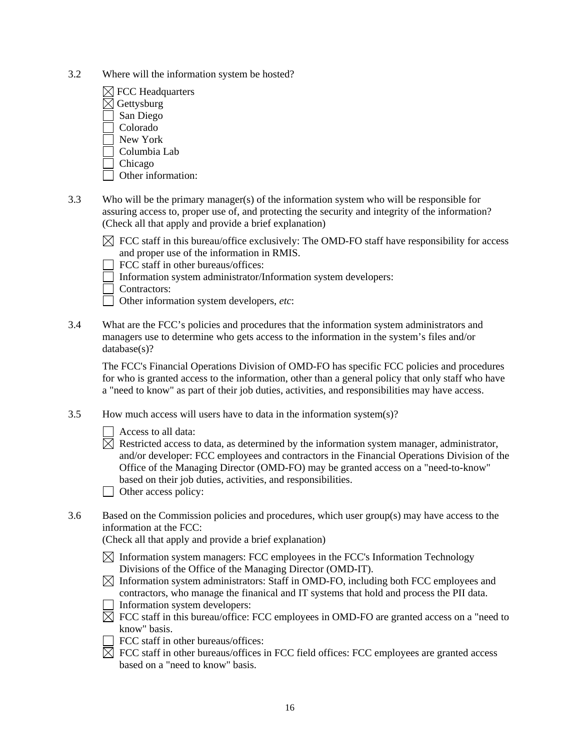- 3.2 Where will the information system be hosted?
	- $\boxtimes$  FCC Headquarters  $\boxtimes$  Gettysburg San Diego Colorado New York Columbia Lab Chicago
	- Other information:
- 3.3 Who will be the primary manager(s) of the information system who will be responsible for assuring access to, proper use of, and protecting the security and integrity of the information? (Check all that apply and provide a brief explanation)
	- $\boxtimes$  FCC staff in this bureau/office exclusively: The OMD-FO staff have responsibility for access and proper use of the information in RMIS.

FCC staff in other bureaus/offices:

Information system administrator/Information system developers:

Contractors:

Other information system developers, *etc*:

3.4 What are the FCC's policies and procedures that the information system administrators and managers use to determine who gets access to the information in the system's files and/or database(s)?

The FCC's Financial Operations Division of OMD-FO has specific FCC policies and procedures for who is granted access to the information, other than a general policy that only staff who have a "need to know" as part of their job duties, activities, and responsibilities may have access.

- 3.5 How much access will users have to data in the information system(s)?
	- Access to all data:
	- $\boxtimes$  Restricted access to data, as determined by the information system manager, administrator, and/or developer: FCC employees and contractors in the Financial Operations Division of the Office of the Managing Director (OMD-FO) may be granted access on a "need-to-know" based on their job duties, activities, and responsibilities.
	- $\Box$  Other access policy:
- 3.6 Based on the Commission policies and procedures, which user group(s) may have access to the information at the FCC:

(Check all that apply and provide a brief explanation)

- $\boxtimes$  Information system managers: FCC employees in the FCC's Information Technology Divisions of the Office of the Managing Director (OMD-IT).
- $\boxtimes$  Information system administrators: Staff in OMD-FO, including both FCC employees and contractors, who manage the finanical and IT systems that hold and process the PII data.
- Information system developers:
- $\boxtimes$  FCC staff in this bureau/office: FCC employees in OMD-FO are granted access on a "need to know" basis.
- FCC staff in other bureaus/offices:
- $\boxtimes$  FCC staff in other bureaus/offices in FCC field offices: FCC employees are granted access based on a "need to know" basis.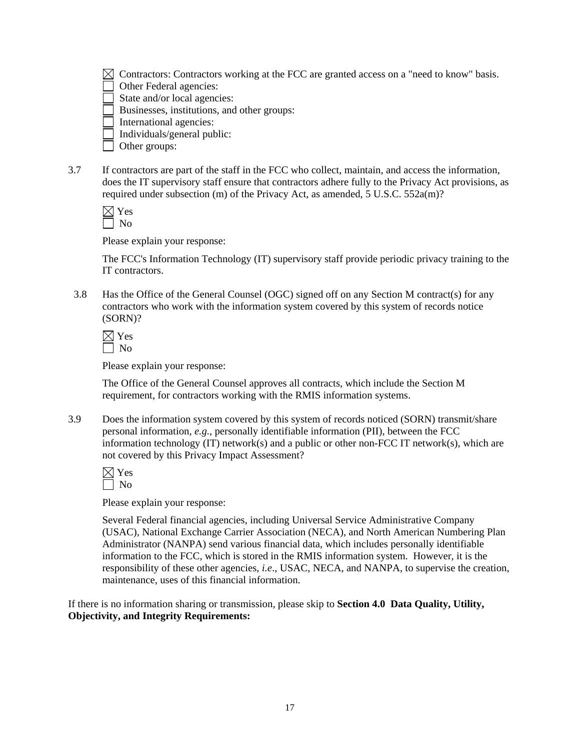$\boxtimes$  Contractors: Contractors working at the FCC are granted access on a "need to know" basis.

Other Federal agencies:

State and/or local agencies:

Businesses, institutions, and other groups:

International agencies:

 $\Box$  Individuals/general public:

 $\Box$  Other groups:

3.7 If contractors are part of the staff in the FCC who collect, maintain, and access the information, does the IT supervisory staff ensure that contractors adhere fully to the Privacy Act provisions, as required under subsection (m) of the Privacy Act, as amended, 5 U.S.C. 552a(m)?

Please explain your response:

The FCC's Information Technology (IT) supervisory staff provide periodic privacy training to the IT contractors.

3.8 Has the Office of the General Counsel (OGC) signed off on any Section M contract(s) for any contractors who work with the information system covered by this system of records notice (SORN)?

| ×.<br>۳ |
|---------|
|         |

Please explain your response:

The Office of the General Counsel approves all contracts, which include the Section M requirement, for contractors working with the RMIS information systems.

3.9 Does the information system covered by this system of records noticed (SORN) transmit/share personal information, *e.g.*, personally identifiable information (PII), between the FCC information technology (IT) network(s) and a public or other non-FCC IT network(s), which are not covered by this Privacy Impact Assessment?

Please explain your response:

Several Federal financial agencies, including Universal Service Administrative Company (USAC), National Exchange Carrier Association (NECA), and North American Numbering Plan Administrator (NANPA) send various financial data, which includes personally identifiable information to the FCC, which is stored in the RMIS information system. However, it is the responsibility of these other agencies, *i.e*., USAC, NECA, and NANPA, to supervise the creation, maintenance, uses of this financial information.

If there is no information sharing or transmission, please skip to **Section 4.0 Data Quality, Utility, Objectivity, and Integrity Requirements:**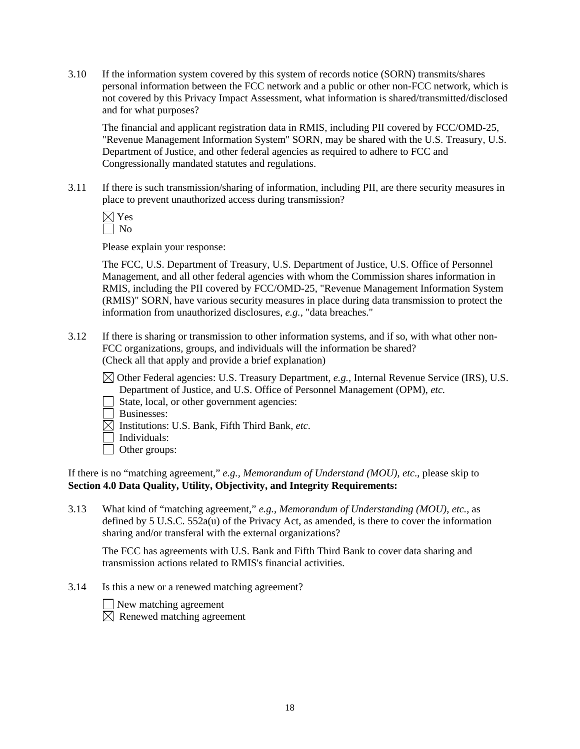3.10 If the information system covered by this system of records notice (SORN) transmits/shares personal information between the FCC network and a public or other non-FCC network, which is not covered by this Privacy Impact Assessment, what information is shared/transmitted/disclosed and for what purposes?

 The financial and applicant registration data in RMIS, including PII covered by FCC/OMD-25, "Revenue Management Information System" SORN, may be shared with the U.S. Treasury, U.S. Department of Justice, and other federal agencies as required to adhere to FCC and Congressionally mandated statutes and regulations.

3.11 If there is such transmission/sharing of information, including PII, are there security measures in place to prevent unauthorized access during transmission?

Please explain your response:

The FCC, U.S. Department of Treasury, U.S. Department of Justice, U.S. Office of Personnel Management, and all other federal agencies with whom the Commission shares information in RMIS, including the PII covered by FCC/OMD-25, "Revenue Management Information System (RMIS)" SORN, have various security measures in place during data transmission to protect the information from unauthorized disclosures, *e.g.*, "data breaches."

3.12 If there is sharing or transmission to other information systems, and if so, with what other non-FCC organizations, groups, and individuals will the information be shared? (Check all that apply and provide a brief explanation)

 Other Federal agencies: U.S. Treasury Department, *e.g.*, Internal Revenue Service (IRS), U.S. Department of Justice, and U.S. Office of Personnel Management (OPM), *etc.*

- State, local, or other government agencies:
- Businesses:
- $\overline{\boxtimes}$  Institutions: U.S. Bank, Fifth Third Bank, *etc.*
- Individuals:
- □ Other groups:

If there is no "matching agreement," *e.g., Memorandum of Understand (MOU), etc*., please skip to **Section 4.0 Data Quality, Utility, Objectivity, and Integrity Requirements:** 

3.13 What kind of "matching agreement," *e.g.*, *Memorandum of Understanding (MOU)*, *etc.*, as defined by 5 U.S.C. 552a(u) of the Privacy Act, as amended, is there to cover the information sharing and/or transferal with the external organizations?

The FCC has agreements with U.S. Bank and Fifth Third Bank to cover data sharing and transmission actions related to RMIS's financial activities.

3.14 Is this a new or a renewed matching agreement?



New matching agreement

 $\overline{\boxtimes}$  Renewed matching agreement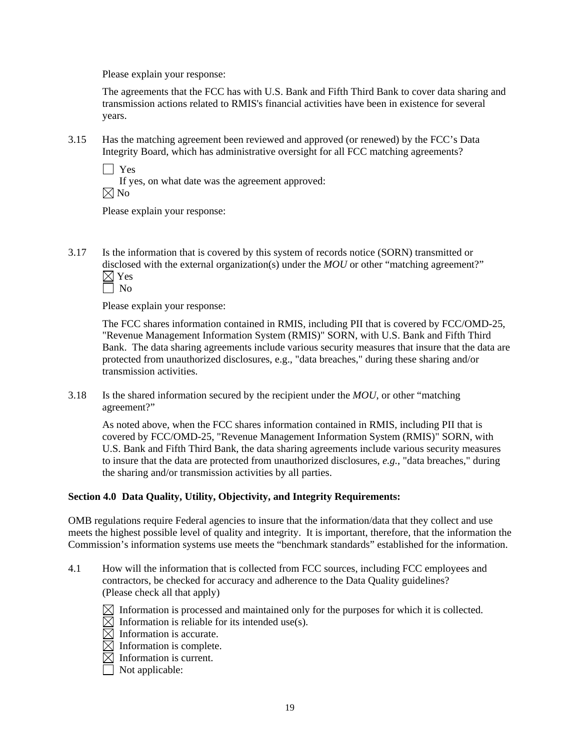The agreements that the FCC has with U.S. Bank and Fifth Third Bank to cover data sharing and transmission actions related to RMIS's financial activities have been in existence for several years.

3.15 Has the matching agreement been reviewed and approved (or renewed) by the FCC's Data Integrity Board, which has administrative oversight for all FCC matching agreements?

Yes

 If yes, on what date was the agreement approved:  $\boxtimes$  No

Please explain your response:

3.17 Is the information that is covered by this system of records notice (SORN) transmitted or disclosed with the external organization(s) under the *MOU* or other "matching agreement?"  $\boxtimes$  Yes

| ۰. |
|----|
|----|

Please explain your response:

The FCC shares information contained in RMIS, including PII that is covered by FCC/OMD-25, "Revenue Management Information System (RMIS)" SORN, with U.S. Bank and Fifth Third Bank. The data sharing agreements include various security measures that insure that the data are protected from unauthorized disclosures, e.g., "data breaches," during these sharing and/or transmission activities.

3.18 Is the shared information secured by the recipient under the *MOU*, or other "matching agreement?"

As noted above, when the FCC shares information contained in RMIS, including PII that is covered by FCC/OMD-25, "Revenue Management Information System (RMIS)" SORN, with U.S. Bank and Fifth Third Bank, the data sharing agreements include various security measures to insure that the data are protected from unauthorized disclosures, *e.g.*, "data breaches," during the sharing and/or transmission activities by all parties.

# **Section 4.0 Data Quality, Utility, Objectivity, and Integrity Requirements:**

OMB regulations require Federal agencies to insure that the information/data that they collect and use meets the highest possible level of quality and integrity. It is important, therefore, that the information the Commission's information systems use meets the "benchmark standards" established for the information.

- 4.1 How will the information that is collected from FCC sources, including FCC employees and contractors, be checked for accuracy and adherence to the Data Quality guidelines? (Please check all that apply)
	- $\boxtimes$  Information is processed and maintained only for the purposes for which it is collected.
	- $\boxtimes$  Information is reliable for its intended use(s).
	- $\boxtimes$  Information is accurate.
	- $\boxtimes$  Information is complete.
	- $\boxtimes$  Information is current.
	- $\Box$  Not applicable: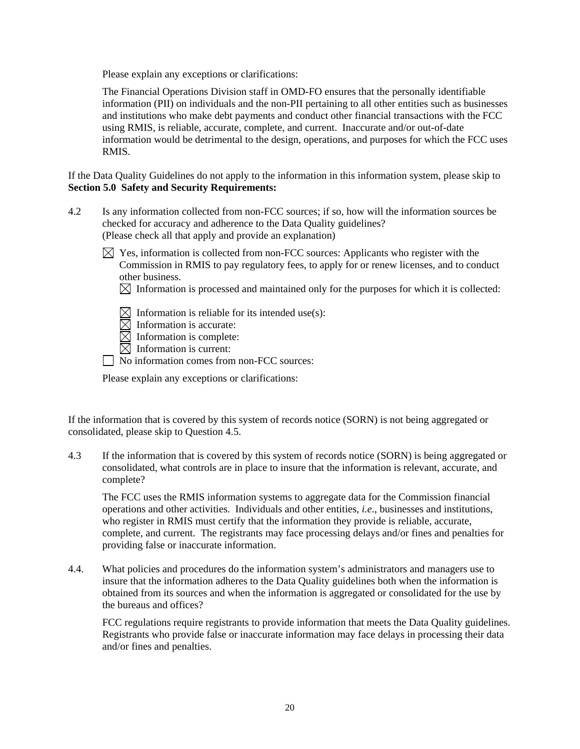Please explain any exceptions or clarifications:

The Financial Operations Division staff in OMD-FO ensures that the personally identifiable information (PII) on individuals and the non-PII pertaining to all other entities such as businesses and institutions who make debt payments and conduct other financial transactions with the FCC using RMIS, is reliable, accurate, complete, and current. Inaccurate and/or out-of-date information would be detrimental to the design, operations, and purposes for which the FCC uses RMIS.

If the Data Quality Guidelines do not apply to the information in this information system, please skip to **Section 5.0 Safety and Security Requirements:** 

- 4.2 Is any information collected from non-FCC sources; if so, how will the information sources be checked for accuracy and adherence to the Data Quality guidelines? (Please check all that apply and provide an explanation)
	- $\boxtimes$  Yes, information is collected from non-FCC sources: Applicants who register with the Commission in RMIS to pay regulatory fees, to apply for or renew licenses, and to conduct other business.
		- $\boxtimes$  Information is processed and maintained only for the purposes for which it is collected:
		- $\boxtimes$  Information is reliable for its intended use(s):
		- $\overline{\boxtimes}$  Information is accurate:
		- $\boxtimes$  Information is complete:
		- $\boxtimes$  Information is current:
	- No information comes from non-FCC sources:

Please explain any exceptions or clarifications:

If the information that is covered by this system of records notice (SORN) is not being aggregated or consolidated, please skip to Question 4.5.

4.3 If the information that is covered by this system of records notice (SORN) is being aggregated or consolidated, what controls are in place to insure that the information is relevant, accurate, and complete?

 The FCC uses the RMIS information systems to aggregate data for the Commission financial operations and other activities. Individuals and other entities, *i.e*., businesses and institutions, who register in RMIS must certify that the information they provide is reliable, accurate, complete, and current. The registrants may face processing delays and/or fines and penalties for providing false or inaccurate information.

4.4. What policies and procedures do the information system's administrators and managers use to insure that the information adheres to the Data Quality guidelines both when the information is obtained from its sources and when the information is aggregated or consolidated for the use by the bureaus and offices?

 FCC regulations require registrants to provide information that meets the Data Quality guidelines. Registrants who provide false or inaccurate information may face delays in processing their data and/or fines and penalties.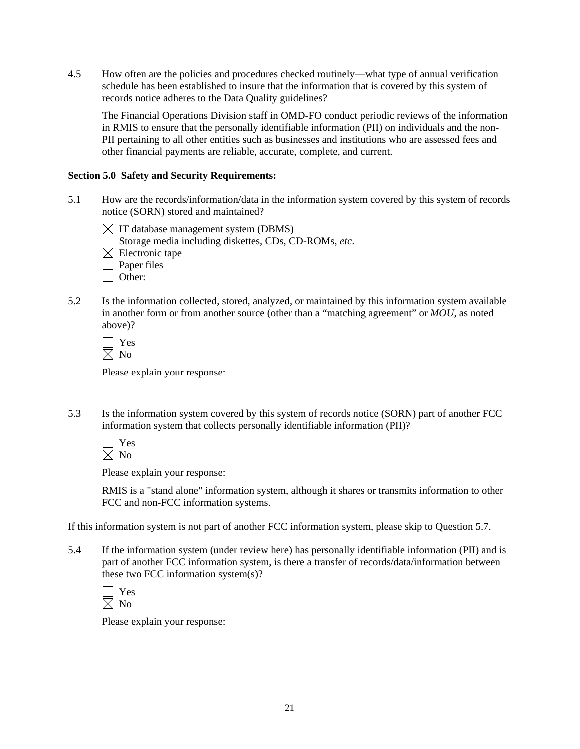4.5 How often are the policies and procedures checked routinely—what type of annual verification schedule has been established to insure that the information that is covered by this system of records notice adheres to the Data Quality guidelines?

 The Financial Operations Division staff in OMD-FO conduct periodic reviews of the information in RMIS to ensure that the personally identifiable information (PII) on individuals and the non-PII pertaining to all other entities such as businesses and institutions who are assessed fees and other financial payments are reliable, accurate, complete, and current.

# **Section 5.0 Safety and Security Requirements:**

- 5.1 How are the records/information/data in the information system covered by this system of records notice (SORN) stored and maintained?
	- $\boxtimes$  IT database management system (DBMS)
	- Storage media including diskettes, CDs, CD-ROMs, *etc*.
	- $\boxtimes$  Electronic tape
	- $\Box$  Paper files
	- $\Box$  Other:
- 5.2 Is the information collected, stored, analyzed, or maintained by this information system available in another form or from another source (other than a "matching agreement" or *MOU*, as noted above)?

Please explain your response:

5.3 Is the information system covered by this system of records notice (SORN) part of another FCC information system that collects personally identifiable information (PII)?

 Yes  $\overline{\boxtimes}$  No

Please explain your response:

RMIS is a "stand alone" information system, although it shares or transmits information to other FCC and non-FCC information systems.

If this information system is not part of another FCC information system, please skip to Question 5.7.

5.4 If the information system (under review here) has personally identifiable information (PII) and is part of another FCC information system, is there a transfer of records/data/information between these two FCC information system(s)?

Please explain your response: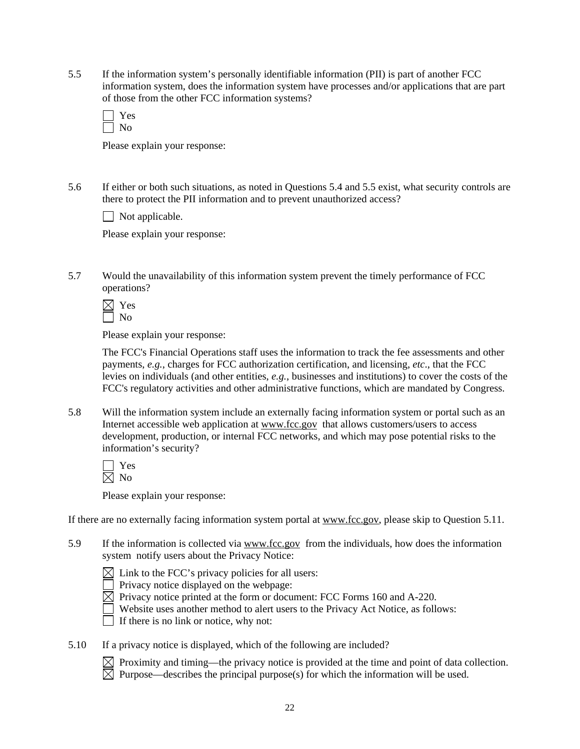5.5 If the information system's personally identifiable information (PII) is part of another FCC information system, does the information system have processes and/or applications that are part of those from the other FCC information systems?

| c<br>- |
|--------|
|        |

Please explain your response:

5.6 If either or both such situations, as noted in Questions 5.4 and 5.5 exist, what security controls are there to protect the PII information and to prevent unauthorized access?

 $\Box$  Not applicable.

Please explain your response:

5.7 Would the unavailability of this information system prevent the timely performance of FCC operations?

Please explain your response:

The FCC's Financial Operations staff uses the information to track the fee assessments and other payments, *e.g.*, charges for FCC authorization certification, and licensing, *etc*., that the FCC levies on individuals (and other entities, *e.g.*, businesses and institutions) to cover the costs of the FCC's regulatory activities and other administrative functions, which are mandated by Congress.

5.8 Will the information system include an externally facing information system or portal such as an Internet accessible web application at www.fcc.gov that allows customers/users to access development, production, or internal FCC networks, and which may pose potential risks to the information's security?

Please explain your response:

If there are no externally facing information system portal at www.fcc.gov, please skip to Question 5.11.

5.9 If the information is collected via www.fcc.gov from the individuals, how does the information system notify users about the Privacy Notice:



 $\Box$  Privacy notice displayed on the webpage:

 $\boxtimes$  Privacy notice printed at the form or document: FCC Forms 160 and A-220.

Website uses another method to alert users to the Privacy Act Notice, as follows:

 $\Box$  If there is no link or notice, why not:

5.10 If a privacy notice is displayed, which of the following are included?

 $\boxtimes$  Proximity and timing—the privacy notice is provided at the time and point of data collection.  $\overline{\boxtimes}$  Purpose—describes the principal purpose(s) for which the information will be used.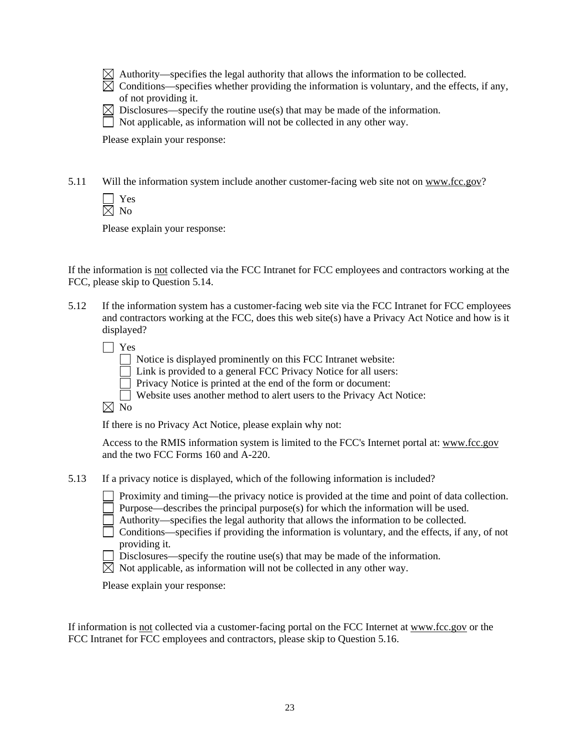| $\boxtimes$ Authority—specifies the legal authority that allows the information to be collected. |
|--------------------------------------------------------------------------------------------------|
|--------------------------------------------------------------------------------------------------|

 $\boxtimes$  Conditions—specifies whether providing the information is voluntary, and the effects, if any, of not providing it.

 $\boxtimes$  Disclosures—specify the routine use(s) that may be made of the information.

 $\Box$  Not applicable, as information will not be collected in any other way.

Please explain your response:

5.11 Will the information system include another customer-facing web site not on www.fcc.gov?

 Yes  $\overline{\boxtimes}$  No

Please explain your response:

If the information is not collected via the FCC Intranet for FCC employees and contractors working at the FCC, please skip to Question 5.14.

5.12 If the information system has a customer-facing web site via the FCC Intranet for FCC employees and contractors working at the FCC, does this web site(s) have a Privacy Act Notice and how is it displayed?

Yes

Notice is displayed prominently on this FCC Intranet website:

 $\Box$  Link is provided to a general FCC Privacy Notice for all users:

Privacy Notice is printed at the end of the form or document:

Website uses another method to alert users to the Privacy Act Notice:

 $\boxtimes$  No

If there is no Privacy Act Notice, please explain why not:

Access to the RMIS information system is limited to the FCC's Internet portal at: www.fcc.gov and the two FCC Forms 160 and A-220.

5.13 If a privacy notice is displayed, which of the following information is included?

Proximity and timing—the privacy notice is provided at the time and point of data collection.

Purpose—describes the principal purpose(s) for which the information will be used.

Authority—specifies the legal authority that allows the information to be collected.

 $\Box$  Conditions—specifies if providing the information is voluntary, and the effects, if any, of not providing it.

Disclosures—specify the routine use(s) that may be made of the information.

 $\boxtimes$  Not applicable, as information will not be collected in any other way.

Please explain your response:

If information is not collected via a customer-facing portal on the FCC Internet at www.fcc.gov or the FCC Intranet for FCC employees and contractors, please skip to Question 5.16.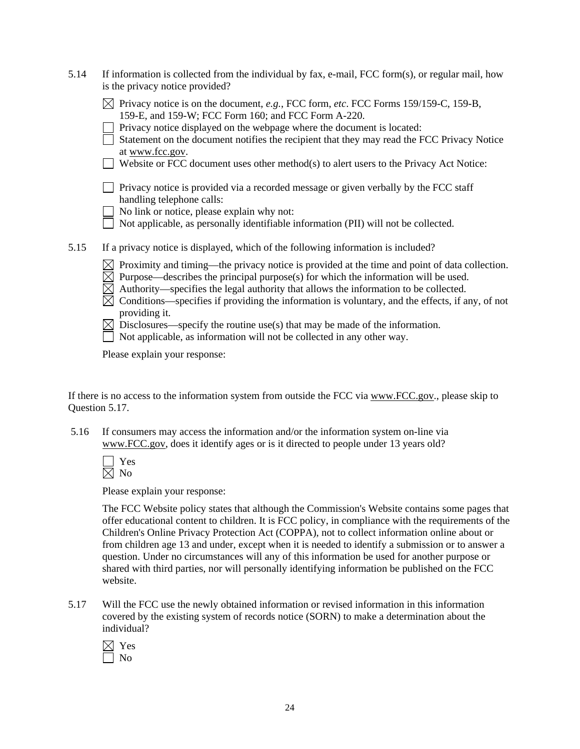| 5.14 | If information is collected from the individual by fax, e-mail, FCC form(s), or regular mail, how<br>is the privacy notice provided?                                                                                                                                                                                                                                                                                                                                                                                                                                                                                                          |
|------|-----------------------------------------------------------------------------------------------------------------------------------------------------------------------------------------------------------------------------------------------------------------------------------------------------------------------------------------------------------------------------------------------------------------------------------------------------------------------------------------------------------------------------------------------------------------------------------------------------------------------------------------------|
|      | $\boxtimes$ Privacy notice is on the document, e.g., FCC form, etc. FCC Forms 159/159-C, 159-B,<br>159-E, and 159-W; FCC Form 160; and FCC Form A-220.<br>Privacy notice displayed on the webpage where the document is located:<br>Statement on the document notifies the recipient that they may read the FCC Privacy Notice<br>at www.fcc.gov.<br>Website or FCC document uses other method(s) to alert users to the Privacy Act Notice:                                                                                                                                                                                                   |
|      | Privacy notice is provided via a recorded message or given verbally by the FCC staff<br>handling telephone calls:<br>No link or notice, please explain why not:<br>Not applicable, as personally identifiable information (PII) will not be collected.                                                                                                                                                                                                                                                                                                                                                                                        |
| 5.15 | If a privacy notice is displayed, which of the following information is included?<br>Proximity and timing—the privacy notice is provided at the time and point of data collection.<br>Purpose—describes the principal purpose(s) for which the information will be used.<br>Authority—specifies the legal authority that allows the information to be collected.<br>Conditions—specifies if providing the information is voluntary, and the effects, if any, of not<br>providing it.<br>Disclosures—specify the routine use(s) that may be made of the information.<br>Not applicable, as information will not be collected in any other way. |

If there is no access to the information system from outside the FCC via www.FCC.gov., please skip to Question 5.17.

 5.16 If consumers may access the information and/or the information system on-line via www.FCC.gov, does it identify ages or is it directed to people under 13 years old?

 Yes  $\boxtimes$  No

Please explain your response:

The FCC Website policy states that although the Commission's Website contains some pages that offer educational content to children. It is FCC policy, in compliance with the requirements of the Children's Online Privacy Protection Act (COPPA), not to collect information online about or from children age 13 and under, except when it is needed to identify a submission or to answer a question. Under no circumstances will any of this information be used for another purpose or shared with third parties, nor will personally identifying information be published on the FCC website.

5.17 Will the FCC use the newly obtained information or revised information in this information covered by the existing system of records notice (SORN) to make a determination about the individual?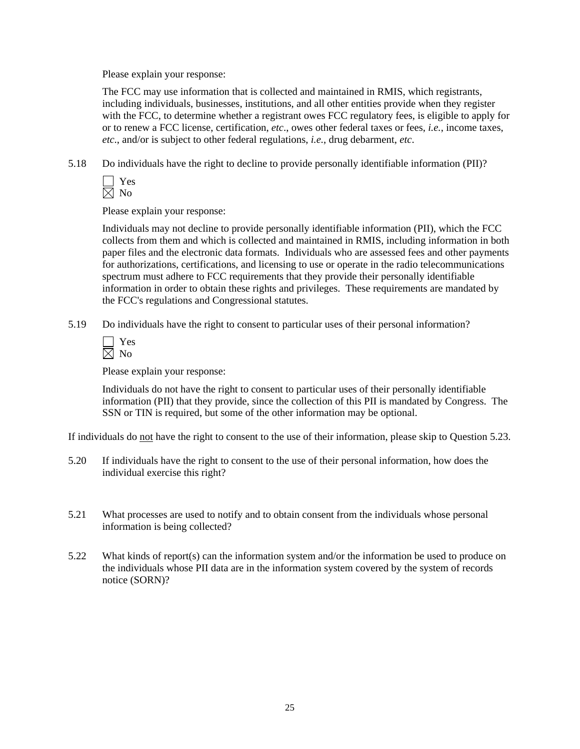The FCC may use information that is collected and maintained in RMIS, which registrants, including individuals, businesses, institutions, and all other entities provide when they register with the FCC, to determine whether a registrant owes FCC regulatory fees, is eligible to apply for or to renew a FCC license, certification, *etc*., owes other federal taxes or fees, *i.e.*, income taxes, *etc*., and/or is subject to other federal regulations, *i.e.*, drug debarment, *etc*.

5.18 Do individuals have the right to decline to provide personally identifiable information (PII)?

Please explain your response:

Individuals may not decline to provide personally identifiable information (PII), which the FCC collects from them and which is collected and maintained in RMIS, including information in both paper files and the electronic data formats. Individuals who are assessed fees and other payments for authorizations, certifications, and licensing to use or operate in the radio telecommunications spectrum must adhere to FCC requirements that they provide their personally identifiable information in order to obtain these rights and privileges. These requirements are mandated by the FCC's regulations and Congressional statutes.

5.19 Do individuals have the right to consent to particular uses of their personal information?

Please explain your response:

Individuals do not have the right to consent to particular uses of their personally identifiable information (PII) that they provide, since the collection of this PII is mandated by Congress. The SSN or TIN is required, but some of the other information may be optional.

If individuals do not have the right to consent to the use of their information, please skip to Question 5.23.

- 5.20 If individuals have the right to consent to the use of their personal information, how does the individual exercise this right?
- 5.21 What processes are used to notify and to obtain consent from the individuals whose personal information is being collected?
- 5.22 What kinds of report(s) can the information system and/or the information be used to produce on the individuals whose PII data are in the information system covered by the system of records notice (SORN)?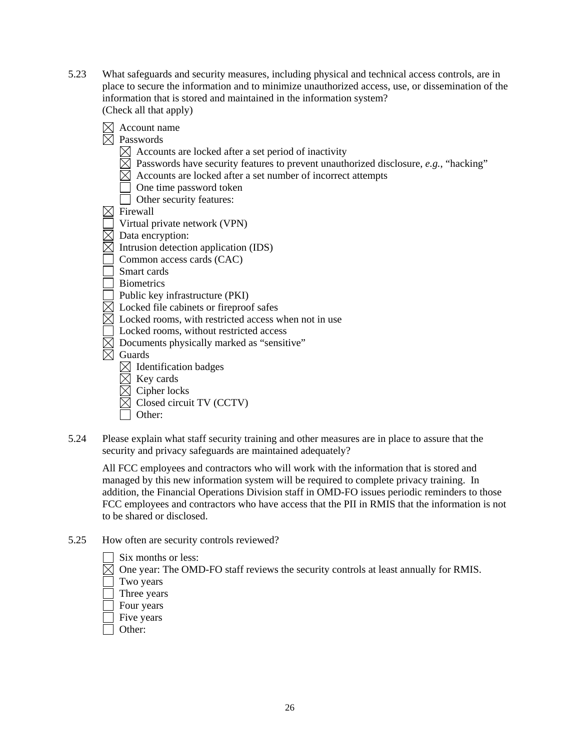- 5.23 What safeguards and security measures, including physical and technical access controls, are in place to secure the information and to minimize unauthorized access, use, or dissemination of the information that is stored and maintained in the information system? (Check all that apply)
	- $\boxtimes$  Account name  $\overline{\boxtimes}$  Passwords  $\boxtimes$  Accounts are locked after a set period of inactivity  $\boxtimes$  Passwords have security features to prevent unauthorized disclosure, *e.g.*, "hacking"  $\boxtimes$  Accounts are locked after a set number of incorrect attempts One time password token Other security features:  $\boxtimes$  Firewall Virtual private network (VPN)  $\overline{\boxtimes}$  Data encryption:  $\boxtimes$  Intrusion detection application (IDS) Common access cards (CAC) Smart cards Biometrics  $\overline{\phantom{a}}$  Public key infrastructure (PKI)  $\boxtimes$  Locked file cabinets or fireproof safes  $\boxtimes$  Locked rooms, with restricted access when not in use Locked rooms, without restricted access  $\boxtimes$  Documents physically marked as "sensitive"  $\overline{\boxtimes}$  Guards  $\boxtimes$  Identification badges  $\boxtimes$  Key cards  $\boxtimes$  Cipher locks  $\overline{\boxtimes}$  Closed circuit TV (CCTV) Other:
- 5.24 Please explain what staff security training and other measures are in place to assure that the security and privacy safeguards are maintained adequately?

 All FCC employees and contractors who will work with the information that is stored and managed by this new information system will be required to complete privacy training. In addition, the Financial Operations Division staff in OMD-FO issues periodic reminders to those FCC employees and contractors who have access that the PII in RMIS that the information is not to be shared or disclosed.

- 5.25 How often are security controls reviewed?
	- Six months or less:

 $\boxtimes$  One year: The OMD-FO staff reviews the security controls at least annually for RMIS.

- Two years
- Three years
- Four years
- Five years
- Other: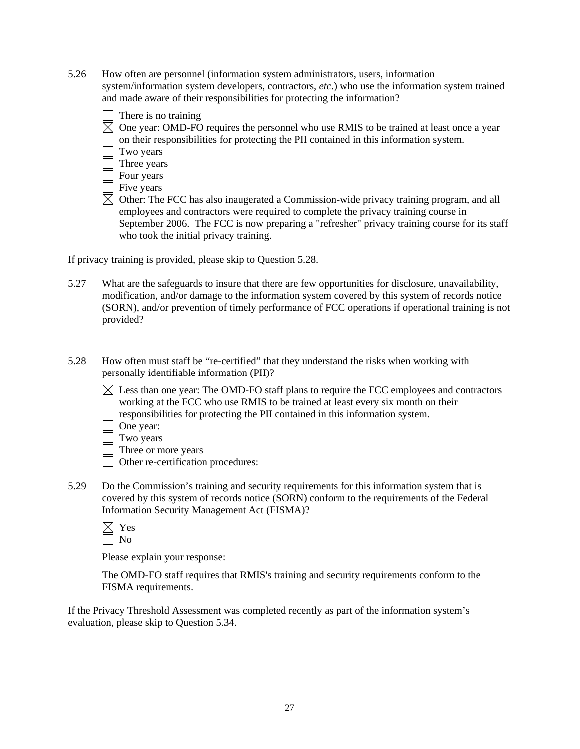- 5.26 How often are personnel (information system administrators, users, information system/information system developers, contractors, *etc*.) who use the information system trained and made aware of their responsibilities for protecting the information?
	- There is no training
	- $\boxtimes$  One year: OMD-FO requires the personnel who use RMIS to be trained at least once a year on their responsibilities for protecting the PII contained in this information system.

| I wo vears |
|------------|
|------------|

- Three years
- Four years
- $\Box$  Five years
- $\boxtimes$  Other: The FCC has also inaugerated a Commission-wide privacy training program, and all employees and contractors were required to complete the privacy training course in September 2006. The FCC is now preparing a "refresher" privacy training course for its staff who took the initial privacy training.

If privacy training is provided, please skip to Question 5.28.

- 5.27 What are the safeguards to insure that there are few opportunities for disclosure, unavailability, modification, and/or damage to the information system covered by this system of records notice (SORN), and/or prevention of timely performance of FCC operations if operational training is not provided?
- 5.28 How often must staff be "re-certified" that they understand the risks when working with personally identifiable information (PII)?
	- $\boxtimes$  Less than one year: The OMD-FO staff plans to require the FCC employees and contractors working at the FCC who use RMIS to be trained at least every six month on their responsibilities for protecting the PII contained in this information system.
	- One year:
	- Two years
	- $\Box$  Three or more years
	- Other re-certification procedures:
- 5.29 Do the Commission's training and security requirements for this information system that is covered by this system of records notice (SORN) conform to the requirements of the Federal Information Security Management Act (FISMA)?

Please explain your response:

The OMD-FO staff requires that RMIS's training and security requirements conform to the FISMA requirements.

If the Privacy Threshold Assessment was completed recently as part of the information system's evaluation, please skip to Question 5.34.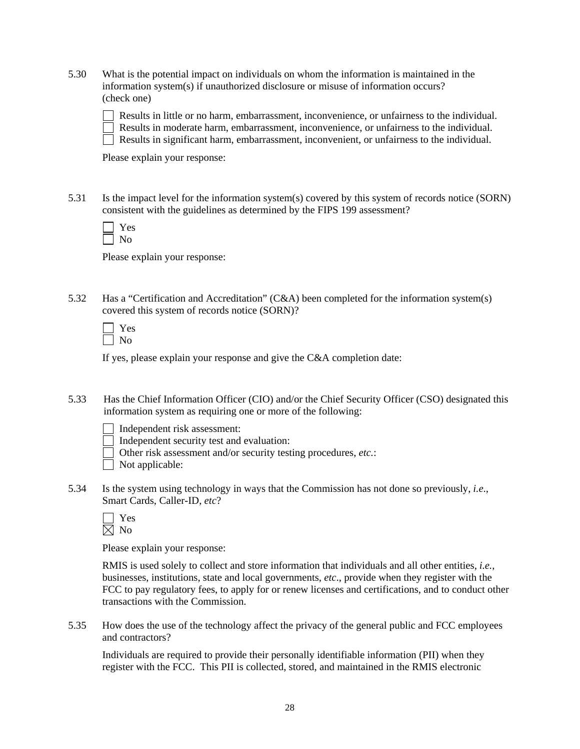5.30 What is the potential impact on individuals on whom the information is maintained in the information system(s) if unauthorized disclosure or misuse of information occurs? (check one)

 Results in little or no harm, embarrassment, inconvenience, or unfairness to the individual. Results in moderate harm, embarrassment, inconvenience, or unfairness to the individual.  $\Box$  Results in significant harm, embarrassment, inconvenient, or unfairness to the individual.

Please explain your response:

5.31 Is the impact level for the information system(s) covered by this system of records notice (SORN) consistent with the guidelines as determined by the FIPS 199 assessment?

Please explain your response:

5.32 Has a "Certification and Accreditation" (C&A) been completed for the information system(s) covered this system of records notice (SORN)?

If yes, please explain your response and give the C&A completion date:

5.33 Has the Chief Information Officer (CIO) and/or the Chief Security Officer (CSO) designated this information system as requiring one or more of the following:

Independent risk assessment:

- Independent security test and evaluation:
- Other risk assessment and/or security testing procedures, *etc.*:

| Not applicable: |  |
|-----------------|--|
|-----------------|--|

5.34 Is the system using technology in ways that the Commission has not done so previously, *i.e*., Smart Cards, Caller-ID, *etc*?

| ۳ |
|---|
|   |

Please explain your response:

RMIS is used solely to collect and store information that individuals and all other entities, *i.e.*, businesses, institutions, state and local governments, *etc*., provide when they register with the FCC to pay regulatory fees, to apply for or renew licenses and certifications, and to conduct other transactions with the Commission.

5.35 How does the use of the technology affect the privacy of the general public and FCC employees and contractors?

Individuals are required to provide their personally identifiable information (PII) when they register with the FCC. This PII is collected, stored, and maintained in the RMIS electronic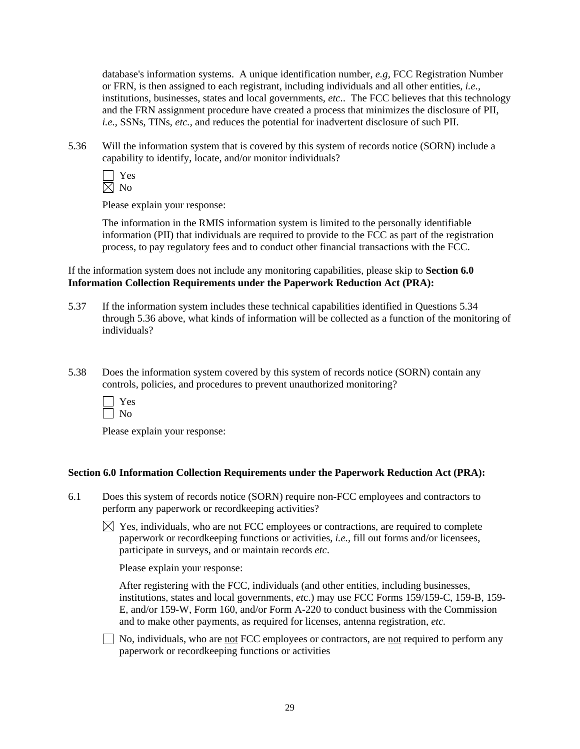database's information systems. A unique identification number, *e.g,* FCC Registration Number or FRN, is then assigned to each registrant, including individuals and all other entities, *i.e.*, institutions, businesses, states and local governments, *etc*.. The FCC believes that this technology and the FRN assignment procedure have created a process that minimizes the disclosure of PII, *i.e.*, SSNs, TINs, *etc.*, and reduces the potential for inadvertent disclosure of such PII.

5.36 Will the information system that is covered by this system of records notice (SORN) include a capability to identify, locate, and/or monitor individuals?

 Yes  $\boxtimes$  No

Please explain your response:

 The information in the RMIS information system is limited to the personally identifiable information (PII) that individuals are required to provide to the FCC as part of the registration process, to pay regulatory fees and to conduct other financial transactions with the FCC.

If the information system does not include any monitoring capabilities, please skip to **Section 6.0 Information Collection Requirements under the Paperwork Reduction Act (PRA):** 

- 5.37 If the information system includes these technical capabilities identified in Questions 5.34 through 5.36 above, what kinds of information will be collected as a function of the monitoring of individuals?
- 5.38 Does the information system covered by this system of records notice (SORN) contain any controls, policies, and procedures to prevent unauthorized monitoring?



Please explain your response:

## **Section 6.0 Information Collection Requirements under the Paperwork Reduction Act (PRA):**

- 6.1 Does this system of records notice (SORN) require non-FCC employees and contractors to perform any paperwork or recordkeeping activities?
	- $\boxtimes$  Yes, individuals, who are not FCC employees or contractions, are required to complete paperwork or recordkeeping functions or activities, *i.e.*, fill out forms and/or licensees, participate in surveys, and or maintain records *etc*.

Please explain your response:

 After registering with the FCC, individuals (and other entities, including businesses, institutions, states and local governments, *et*c.) may use FCC Forms 159/159-C, 159-B, 159- E, and/or 159-W, Form 160, and/or Form A-220 to conduct business with the Commission and to make other payments, as required for licenses, antenna registration, *etc.*

 $\Box$  No, individuals, who are <u>not</u> FCC employees or contractors, are <u>not</u> required to perform any paperwork or recordkeeping functions or activities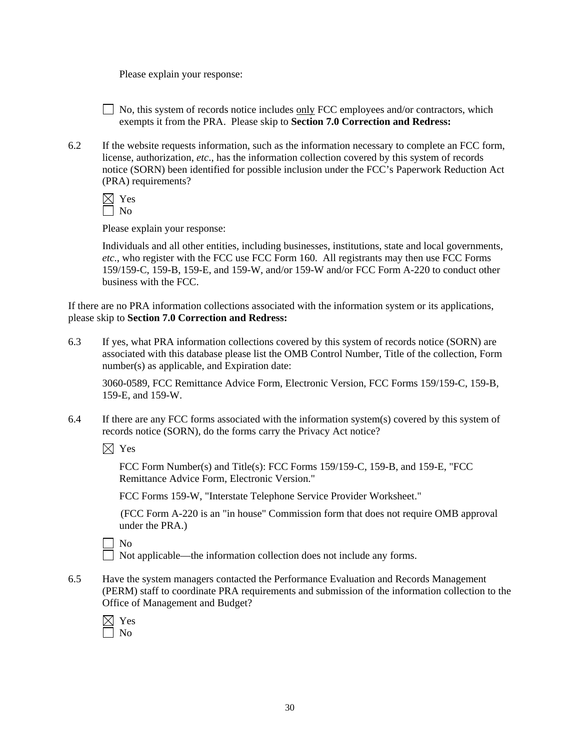$\Box$  No, this system of records notice includes <u>only</u> FCC employees and/or contractors, which exempts it from the PRA. Please skip to **Section 7.0 Correction and Redress:** 

6.2 If the website requests information, such as the information necessary to complete an FCC form, license, authorization, *etc*., has the information collection covered by this system of records notice (SORN) been identified for possible inclusion under the FCC's Paperwork Reduction Act (PRA) requirements?

 $\boxtimes$  Yes  $\Box$  No

Please explain your response:

Individuals and all other entities, including businesses, institutions, state and local governments, *etc*., who register with the FCC use FCC Form 160. All registrants may then use FCC Forms 159/159-C, 159-B, 159-E, and 159-W, and/or 159-W and/or FCC Form A-220 to conduct other business with the FCC.

If there are no PRA information collections associated with the information system or its applications, please skip to **Section 7.0 Correction and Redress:**

6.3 If yes, what PRA information collections covered by this system of records notice (SORN) are associated with this database please list the OMB Control Number, Title of the collection, Form number(s) as applicable, and Expiration date:

3060-0589, FCC Remittance Advice Form, Electronic Version, FCC Forms 159/159-C, 159-B, 159-E, and 159-W.

6.4 If there are any FCC forms associated with the information system(s) covered by this system of records notice (SORN), do the forms carry the Privacy Act notice?

 $\boxtimes$  Yes

FCC Form Number(s) and Title(s): FCC Forms 159/159-C, 159-B, and 159-E, "FCC Remittance Advice Form, Electronic Version."

FCC Forms 159-W, "Interstate Telephone Service Provider Worksheet."

 (FCC Form A-220 is an "in house" Commission form that does not require OMB approval under the PRA.)

No

Not applicable—the information collection does not include any forms.

6.5 Have the system managers contacted the Performance Evaluation and Records Management (PERM) staff to coordinate PRA requirements and submission of the information collection to the Office of Management and Budget?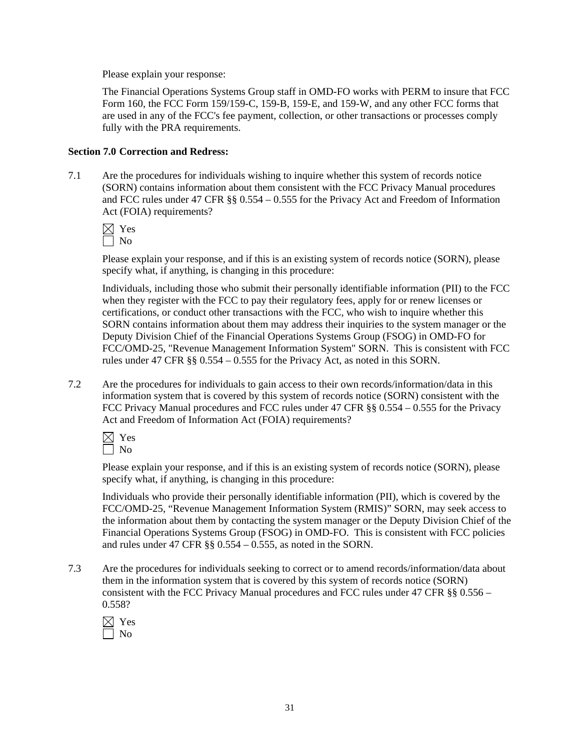The Financial Operations Systems Group staff in OMD-FO works with PERM to insure that FCC Form 160, the FCC Form 159/159-C, 159-B, 159-E, and 159-W, and any other FCC forms that are used in any of the FCC's fee payment, collection, or other transactions or processes comply fully with the PRA requirements.

# **Section 7.0 Correction and Redress:**

7.1 Are the procedures for individuals wishing to inquire whether this system of records notice (SORN) contains information about them consistent with the FCC Privacy Manual procedures and FCC rules under 47 CFR §§ 0.554 – 0.555 for the Privacy Act and Freedom of Information Act (FOIA) requirements?

 $\boxtimes$  Yes

 $\Box$  No

Please explain your response, and if this is an existing system of records notice (SORN), please specify what, if anything, is changing in this procedure:

 Individuals, including those who submit their personally identifiable information (PII) to the FCC when they register with the FCC to pay their regulatory fees, apply for or renew licenses or certifications, or conduct other transactions with the FCC, who wish to inquire whether this SORN contains information about them may address their inquiries to the system manager or the Deputy Division Chief of the Financial Operations Systems Group (FSOG) in OMD-FO for FCC/OMD-25, "Revenue Management Information System" SORN. This is consistent with FCC rules under 47 CFR §§ 0.554 – 0.555 for the Privacy Act, as noted in this SORN.

7.2 Are the procedures for individuals to gain access to their own records/information/data in this information system that is covered by this system of records notice (SORN) consistent with the FCC Privacy Manual procedures and FCC rules under 47 CFR §§ 0.554 – 0.555 for the Privacy Act and Freedom of Information Act (FOIA) requirements?

 $\boxtimes$  Yes  $\Box$  No

Please explain your response, and if this is an existing system of records notice (SORN), please specify what, if anything, is changing in this procedure:

Individuals who provide their personally identifiable information (PII), which is covered by the FCC/OMD-25, "Revenue Management Information System (RMIS)" SORN, may seek access to the information about them by contacting the system manager or the Deputy Division Chief of the Financial Operations Systems Group (FSOG) in OMD-FO. This is consistent with FCC policies and rules under 47 CFR  $\S$ § 0.554 – 0.555, as noted in the SORN.

7.3 Are the procedures for individuals seeking to correct or to amend records/information/data about them in the information system that is covered by this system of records notice (SORN) consistent with the FCC Privacy Manual procedures and FCC rules under 47 CFR §§ 0.556 – 0.558?

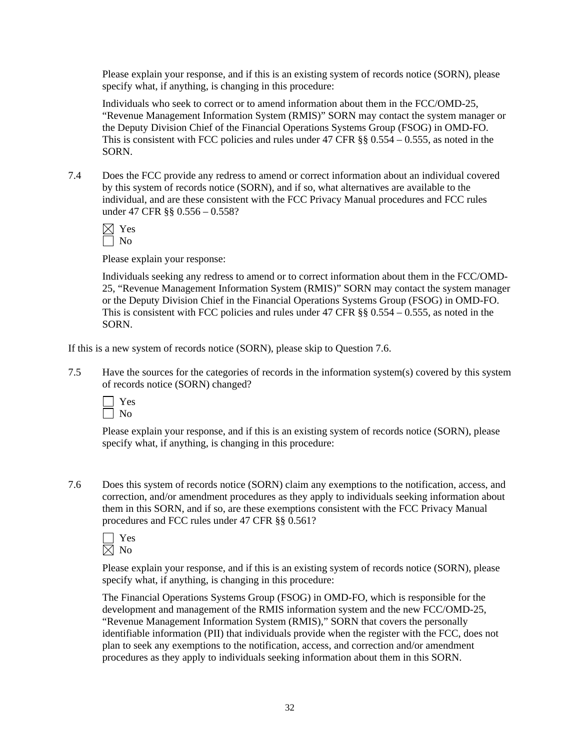Please explain your response, and if this is an existing system of records notice (SORN), please specify what, if anything, is changing in this procedure:

Individuals who seek to correct or to amend information about them in the FCC/OMD-25, "Revenue Management Information System (RMIS)" SORN may contact the system manager or the Deputy Division Chief of the Financial Operations Systems Group (FSOG) in OMD-FO. This is consistent with FCC policies and rules under 47 CFR  $\S$ § 0.554 – 0.555, as noted in the SORN.

7.4 Does the FCC provide any redress to amend or correct information about an individual covered by this system of records notice (SORN), and if so, what alternatives are available to the individual, and are these consistent with the FCC Privacy Manual procedures and FCC rules under 47 CFR §§ 0.556 – 0.558?

 $\boxtimes$  Yes  $\Box$  No

Please explain your response:

 Individuals seeking any redress to amend or to correct information about them in the FCC/OMD-25, "Revenue Management Information System (RMIS)" SORN may contact the system manager or the Deputy Division Chief in the Financial Operations Systems Group (FSOG) in OMD-FO. This is consistent with FCC policies and rules under 47 CFR  $\S$ § 0.554 – 0.555, as noted in the SORN.

If this is a new system of records notice (SORN), please skip to Question 7.6.

7.5 Have the sources for the categories of records in the information system(s) covered by this system of records notice (SORN) changed?



Please explain your response, and if this is an existing system of records notice (SORN), please specify what, if anything, is changing in this procedure:

7.6 Does this system of records notice (SORN) claim any exemptions to the notification, access, and correction, and/or amendment procedures as they apply to individuals seeking information about them in this SORN, and if so, are these exemptions consistent with the FCC Privacy Manual procedures and FCC rules under 47 CFR §§ 0.561?



Please explain your response, and if this is an existing system of records notice (SORN), please specify what, if anything, is changing in this procedure:

 The Financial Operations Systems Group (FSOG) in OMD-FO, which is responsible for the development and management of the RMIS information system and the new FCC/OMD-25, "Revenue Management Information System (RMIS)," SORN that covers the personally identifiable information (PII) that individuals provide when the register with the FCC, does not plan to seek any exemptions to the notification, access, and correction and/or amendment procedures as they apply to individuals seeking information about them in this SORN.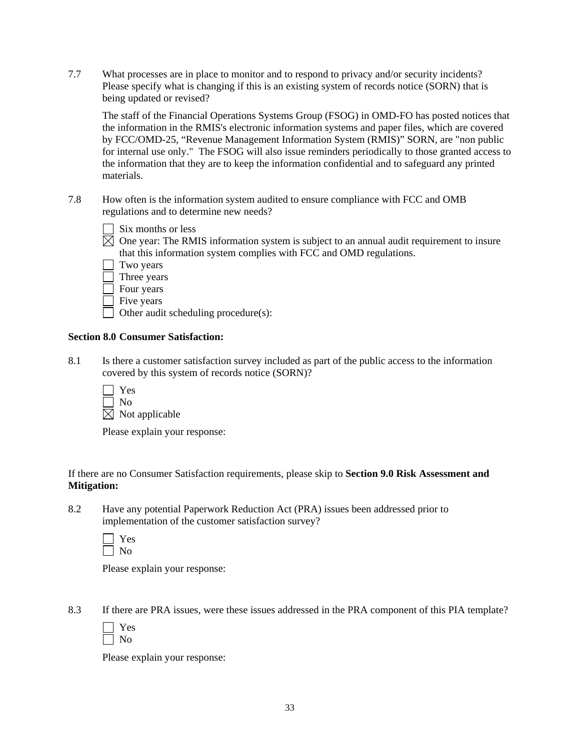7.7 What processes are in place to monitor and to respond to privacy and/or security incidents? Please specify what is changing if this is an existing system of records notice (SORN) that is being updated or revised?

 The staff of the Financial Operations Systems Group (FSOG) in OMD-FO has posted notices that the information in the RMIS's electronic information systems and paper files, which are covered by FCC/OMD-25, "Revenue Management Information System (RMIS)" SORN, are "non public for internal use only." The FSOG will also issue reminders periodically to those granted access to the information that they are to keep the information confidential and to safeguard any printed materials.

7.8 How often is the information system audited to ensure compliance with FCC and OMB regulations and to determine new needs?

|  | Six months or less |  |  |
|--|--------------------|--|--|
|--|--------------------|--|--|

- $\boxtimes$  One year: The RMIS information system is subject to an annual audit requirement to insure that this information system complies with FCC and OMD regulations.
- Two years Three years
- Four years
- Five years

Other audit scheduling procedure(s):

# **Section 8.0 Consumer Satisfaction:**

8.1 Is there a customer satisfaction survey included as part of the public access to the information covered by this system of records notice (SORN)?

| $\Box$ | Yes                        |
|--------|----------------------------|
|        | $\vert$ No                 |
|        | $\boxtimes$ Not applicable |

Please explain your response:

If there are no Consumer Satisfaction requirements, please skip to **Section 9.0 Risk Assessment and Mitigation:** 

8.2 Have any potential Paperwork Reduction Act (PRA) issues been addressed prior to implementation of the customer satisfaction survey?

Please explain your response:

8.3 If there are PRA issues, were these issues addressed in the PRA component of this PIA template?

Please explain your response: